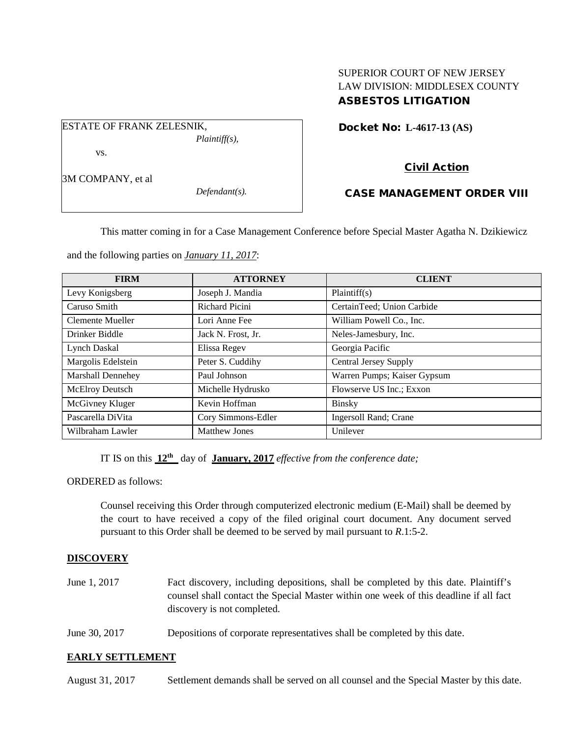# SUPERIOR COURT OF NEW JERSEY LAW DIVISION: MIDDLESEX COUNTY ASBESTOS LITIGATION

Docket No: **L-4617-13 (AS)** 

# Civil Action

# CASE MANAGEMENT ORDER VIII

This matter coming in for a Case Management Conference before Special Master Agatha N. Dzikiewicz

and the following parties on *January 11, 2017*:

*Plaintiff(s),*

*Defendant(s).*

ESTATE OF FRANK ZELESNIK,

vs.

3M COMPANY, et al

| <b>FIRM</b>              | <b>ATTORNEY</b>      | <b>CLIENT</b>                |
|--------------------------|----------------------|------------------------------|
| Levy Konigsberg          | Joseph J. Mandia     | Plaintiff(s)                 |
| Caruso Smith             | Richard Picini       | CertainTeed; Union Carbide   |
| Clemente Mueller         | Lori Anne Fee        | William Powell Co., Inc.     |
| Drinker Biddle           | Jack N. Frost, Jr.   | Neles-Jamesbury, Inc.        |
| Lynch Daskal             | Elissa Regev         | Georgia Pacific              |
| Margolis Edelstein       | Peter S. Cuddihy     | <b>Central Jersey Supply</b> |
| <b>Marshall Dennehey</b> | Paul Johnson         | Warren Pumps; Kaiser Gypsum  |
| McElroy Deutsch          | Michelle Hydrusko    | Flowserve US Inc.; Exxon     |
| McGivney Kluger          | Kevin Hoffman        | <b>Binsky</b>                |
| Pascarella DiVita        | Cory Simmons-Edler   | Ingersoll Rand; Crane        |
| Wilbraham Lawler         | <b>Matthew Jones</b> | Unilever                     |

IT IS on this **12th** day of **January, 2017** *effective from the conference date;*

ORDERED as follows:

Counsel receiving this Order through computerized electronic medium (E-Mail) shall be deemed by the court to have received a copy of the filed original court document. Any document served pursuant to this Order shall be deemed to be served by mail pursuant to *R*.1:5-2.

### **DISCOVERY**

- June 1, 2017 Fact discovery, including depositions, shall be completed by this date. Plaintiff's counsel shall contact the Special Master within one week of this deadline if all fact discovery is not completed.
- June 30, 2017 Depositions of corporate representatives shall be completed by this date.

### **EARLY SETTLEMENT**

August 31, 2017 Settlement demands shall be served on all counsel and the Special Master by this date.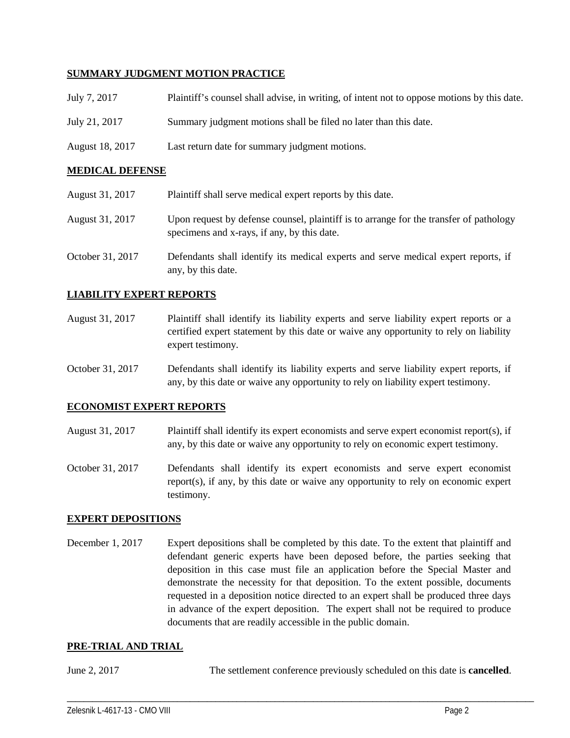### **SUMMARY JUDGMENT MOTION PRACTICE**

| July 7, 2017    | Plaintiff's counsel shall advise, in writing, of intent not to oppose motions by this date. |
|-----------------|---------------------------------------------------------------------------------------------|
| July 21, 2017   | Summary judgment motions shall be filed no later than this date.                            |
| August 18, 2017 | Last return date for summary judgment motions.                                              |

### **MEDICAL DEFENSE**

| August 31, 2017  | Plaintiff shall serve medical expert reports by this date.                                                                            |
|------------------|---------------------------------------------------------------------------------------------------------------------------------------|
| August 31, 2017  | Upon request by defense counsel, plaintiff is to arrange for the transfer of pathology<br>specimens and x-rays, if any, by this date. |
| October 31, 2017 | Defendants shall identify its medical experts and serve medical expert reports, if<br>any, by this date.                              |

### **LIABILITY EXPERT REPORTS**

- August 31, 2017 Plaintiff shall identify its liability experts and serve liability expert reports or a certified expert statement by this date or waive any opportunity to rely on liability expert testimony.
- October 31, 2017 Defendants shall identify its liability experts and serve liability expert reports, if any, by this date or waive any opportunity to rely on liability expert testimony.

### **ECONOMIST EXPERT REPORTS**

- August 31, 2017 Plaintiff shall identify its expert economists and serve expert economist report(s), if any, by this date or waive any opportunity to rely on economic expert testimony.
- October 31, 2017 Defendants shall identify its expert economists and serve expert economist report(s), if any, by this date or waive any opportunity to rely on economic expert testimony.

### **EXPERT DEPOSITIONS**

December 1, 2017 Expert depositions shall be completed by this date. To the extent that plaintiff and defendant generic experts have been deposed before, the parties seeking that deposition in this case must file an application before the Special Master and demonstrate the necessity for that deposition. To the extent possible, documents requested in a deposition notice directed to an expert shall be produced three days in advance of the expert deposition. The expert shall not be required to produce documents that are readily accessible in the public domain.

#### **PRE-TRIAL AND TRIAL**

June 2, 2017 The settlement conference previously scheduled on this date is **cancelled**.

\_\_\_\_\_\_\_\_\_\_\_\_\_\_\_\_\_\_\_\_\_\_\_\_\_\_\_\_\_\_\_\_\_\_\_\_\_\_\_\_\_\_\_\_\_\_\_\_\_\_\_\_\_\_\_\_\_\_\_\_\_\_\_\_\_\_\_\_\_\_\_\_\_\_\_\_\_\_\_\_\_\_\_\_\_\_\_\_\_\_\_\_\_\_\_\_\_\_\_\_\_\_\_\_\_\_\_\_\_\_